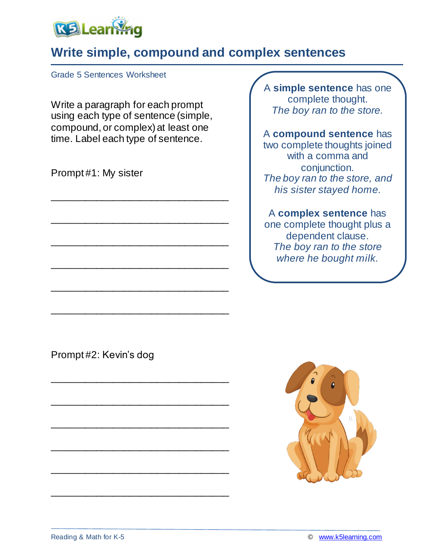

## **Write simple, compound and complex sentences**

Grade 5 Sentences Worksheet

Write a paragraph for each prompt using each type of sentence (simple, compound, or complex) at least one time. Label each type of sentence.

\_\_\_\_\_\_\_\_\_\_\_\_\_\_\_\_\_\_\_\_\_\_\_\_\_\_\_\_\_\_\_\_

\_\_\_\_\_\_\_\_\_\_\_\_\_\_\_\_\_\_\_\_\_\_\_\_\_\_\_\_\_\_\_\_

\_\_\_\_\_\_\_\_\_\_\_\_\_\_\_\_\_\_\_\_\_\_\_\_\_\_\_\_\_\_\_\_

\_\_\_\_\_\_\_\_\_\_\_\_\_\_\_\_\_\_\_\_\_\_\_\_\_\_\_\_\_\_\_\_

\_\_\_\_\_\_\_\_\_\_\_\_\_\_\_\_\_\_\_\_\_\_\_\_\_\_\_\_\_\_\_\_

\_\_\_\_\_\_\_\_\_\_\_\_\_\_\_\_\_\_\_\_\_\_\_\_\_\_\_\_\_\_\_\_

\_\_\_\_\_\_\_\_\_\_\_\_\_\_\_\_\_\_\_\_\_\_\_\_\_\_\_\_\_\_\_\_

\_\_\_\_\_\_\_\_\_\_\_\_\_\_\_\_\_\_\_\_\_\_\_\_\_\_\_\_\_\_\_\_

\_\_\_\_\_\_\_\_\_\_\_\_\_\_\_\_\_\_\_\_\_\_\_\_\_\_\_\_\_\_\_\_

\_\_\_\_\_\_\_\_\_\_\_\_\_\_\_\_\_\_\_\_\_\_\_\_\_\_\_\_\_\_\_\_

\_\_\_\_\_\_\_\_\_\_\_\_\_\_\_\_\_\_\_\_\_\_\_\_\_\_\_\_\_\_\_\_

\_\_\_\_\_\_\_\_\_\_\_\_\_\_\_\_\_\_\_\_\_\_\_\_\_\_\_\_\_\_\_\_

Prompt #1: My sister

A **simple sentence** has one complete thought. *The boy ran to the store.*

A **compound sentence** has two complete thoughts joined with a comma and conjunction. *The boy ran to the store, and his sister stayed home.*

#### A **complex sentence** has

one complete thought plus a dependent clause. *The boy ran to the store where he bought milk.*

Prompt #2: Kevin's dog